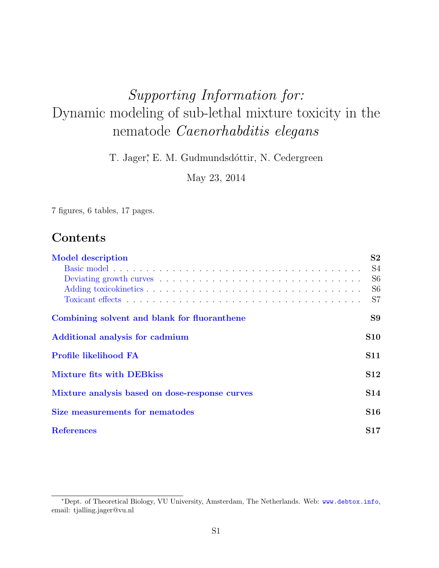# Supporting Information for: Dynamic modeling of sub-lethal mixture toxicity in the nematode Caenorhabditis elegans

T. Jager<sup>\*</sup>, E. M. Gudmundsdóttir, N. Cedergreen

May 23, 2014

7 figures, 6 tables, 17 pages.

# Contents

| <b>Model description</b>                       | S <sub>2</sub> |
|------------------------------------------------|----------------|
|                                                | S <sub>4</sub> |
|                                                | S <sub>6</sub> |
|                                                | S <sub>6</sub> |
|                                                | S7             |
| Combining solvent and blank for fluoranthene   | S9             |
| Additional analysis for cadmium                | <b>S10</b>     |
| <b>Profile likelihood FA</b>                   | <b>S11</b>     |
| <b>Mixture fits with DEB kiss</b>              | <b>S12</b>     |
| Mixture analysis based on dose-response curves | S14            |
| Size measurements for nematodes                | S16            |
| <b>References</b>                              | S17            |

<sup>∗</sup>Dept. of Theoretical Biology, VU University, Amsterdam, The Netherlands. Web: <www.debtox.info>, email: tjalling.jager@vu.nl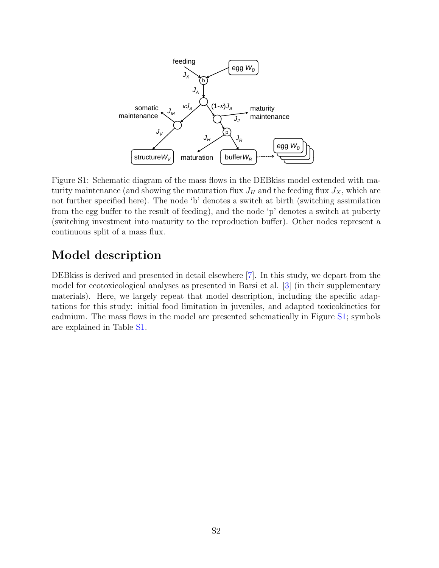

<span id="page-1-1"></span>Figure S1: Schematic diagram of the mass flows in the DEBkiss model extended with maturity maintenance (and showing the maturation flux  $J_H$  and the feeding flux  $J_X$ , which are not further specified here). The node 'b' denotes a switch at birth (switching assimilation from the egg buffer to the result of feeding), and the node 'p' denotes a switch at puberty (switching investment into maturity to the reproduction buffer). Other nodes represent a continuous split of a mass flux.

# <span id="page-1-0"></span>Model description

DEBkiss is derived and presented in detail elsewhere [\[7\]](#page-16-0). In this study, we depart from the model for ecotoxicological analyses as presented in Barsi et al. [\[3\]](#page-16-1) (in their supplementary materials). Here, we largely repeat that model description, including the specific adaptations for this study: initial food limitation in juveniles, and adapted toxicokinetics for cadmium. The mass flows in the model are presented schematically in Figure [S1;](#page-1-1) symbols are explained in Table [S1.](#page-2-0)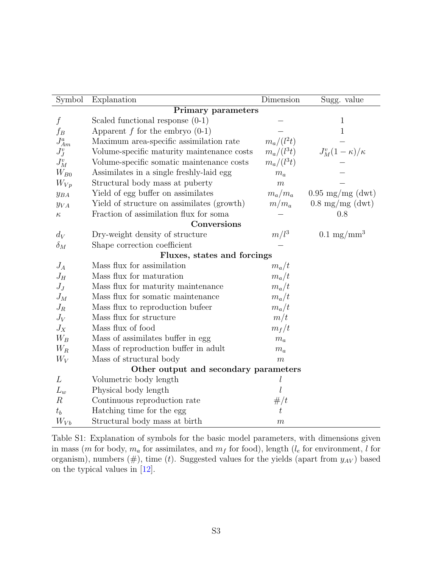| Symbol            | Explanation                                | Dimension        | Sugg. value                |
|-------------------|--------------------------------------------|------------------|----------------------------|
|                   | <b>Primary parameters</b>                  |                  |                            |
| $\int$            | Scaled functional response $(0-1)$         |                  | 1                          |
| $f_B$             | Apparent $f$ for the embryo $(0-1)$        |                  | 1                          |
| $J_{Am}^a$        | Maximum area-specific assimilation rate    | $m_a/(l^2t)$     |                            |
| $J_J^v$           | Volume-specific maturity maintenance costs | $m_a/(l^3t)$     | $J_M^v(1-\kappa)/\kappa$   |
| $J_M^v$           | Volume-specific somatic maintenance costs  | $m_a/(l^3t)$     |                            |
| $W_{B0}$          | Assimilates in a single freshly-laid egg   | $m_a$            |                            |
| $W_{Vp}$          | Structural body mass at puberty            | $\boldsymbol{m}$ |                            |
| $y_{BA}$          | Yield of egg buffer on assimilates         | $m_a/m_a$        | $0.95 \text{ mg/mg}$ (dwt) |
| $y_{VA}$          | Yield of structure on assimilates (growth) | $m/m_a$          | $0.8 \text{ mg/mg}$ (dwt)  |
| $\kappa$          | Fraction of assimilation flux for soma     |                  | 0.8                        |
|                   | Conversions                                |                  |                            |
| $d_V$             | Dry-weight density of structure            | $m/l^3$          | $0.1 \text{ mg/mm}^3$      |
| $\delta_M$        | Shape correction coefficient               |                  |                            |
|                   | Fluxes, states and forcings                |                  |                            |
| $J_A$             | Mass flux for assimilation                 | $m_a/t$          |                            |
| $J_H$             | Mass flux for maturation                   | $m_a/t$          |                            |
| $J_J$             | Mass flux for maturity maintenance         | $m_a/t$          |                            |
| $J_M$             | Mass flux for somatic maintenance          | $m_a/t$          |                            |
| $J_R$             | Mass flux to reproduction bufeer           | $m_a/t$          |                            |
| $J_V$             | Mass flux for structure                    | m/t              |                            |
| $J_X$             | Mass flux of food                          | $m_f/t$          |                            |
| $\mathcal{W}_{B}$ | Mass of assimilates buffer in egg          | $m_a$            |                            |
| $W_R$             | Mass of reproduction buffer in adult       | $m_a$            |                            |
| $W_V$             | Mass of structural body                    | m                |                            |
|                   | Other output and secondary parameters      |                  |                            |
| L                 | Volumetric body length                     | $\it{l}$         |                            |
| $L_w$             | Physical body length                       | l                |                            |
| $\boldsymbol{R}$  | Continuous reproduction rate               | #/t              |                            |
| $t_b$             | Hatching time for the egg                  | t                |                            |
| $W_{Vb}$          | Structural body mass at birth              | $\boldsymbol{m}$ |                            |

<span id="page-2-0"></span>Table S1: Explanation of symbols for the basic model parameters, with dimensions given in mass (m for body,  $m_a$  for assimilates, and  $m_f$  for food), length ( $l_e$  for environment, l for organism), numbers  $(\#)$ , time  $(t)$ . Suggested values for the yields (apart from  $y_{AV}$ ) based on the typical values in [\[12\]](#page-16-2).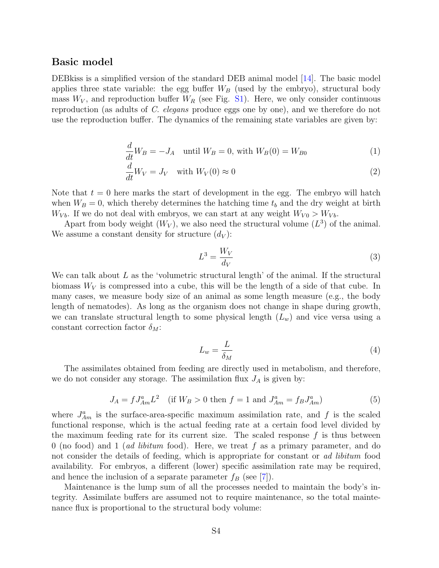#### <span id="page-3-0"></span>Basic model

DEBkiss is a simplified version of the standard DEB animal model [\[14\]](#page-16-3). The basic model applies three state variable: the egg buffer  $W_B$  (used by the embryo), structural body mass  $W_V$ , and reproduction buffer  $W_R$  (see Fig. [S1\)](#page-1-1). Here, we only consider continuous reproduction (as adults of C. elegans produce eggs one by one), and we therefore do not use the reproduction buffer. The dynamics of the remaining state variables are given by:

$$
\frac{d}{dt}W_B = -J_A \quad \text{until } W_B = 0 \text{, with } W_B(0) = W_{B0} \tag{1}
$$

$$
\frac{d}{dt}W_V = J_V \quad \text{with } W_V(0) \approx 0 \tag{2}
$$

Note that  $t = 0$  here marks the start of development in the egg. The embryo will hatch when  $W_B = 0$ , which thereby determines the hatching time  $t_b$  and the dry weight at birth  $W_{Vb}$ . If we do not deal with embryos, we can start at any weight  $W_{V0} > W_{Vb}$ .

Apart from body weight  $(W_V)$ , we also need the structural volume  $(L^3)$  of the animal. We assume a constant density for structure  $(d_V)$ :

$$
L^3 = \frac{W_V}{d_V} \tag{3}
$$

We can talk about  $L$  as the 'volumetric structural length' of the animal. If the structural biomass  $W_V$  is compressed into a cube, this will be the length of a side of that cube. In many cases, we measure body size of an animal as some length measure (e.g., the body length of nematodes). As long as the organism does not change in shape during growth, we can translate structural length to some physical length  $(L_w)$  and vice versa using a constant correction factor  $\delta_M$ :

$$
L_w = \frac{L}{\delta_M} \tag{4}
$$

The assimilates obtained from feeding are directly used in metabolism, and therefore, we do not consider any storage. The assimilation flux  $J_A$  is given by:

$$
J_A = f J_{Am}^a L^2 \quad \text{(if } W_B > 0 \text{ then } f = 1 \text{ and } J_{Am}^a = f_B J_{Am}^a \text{)}
$$
 (5)

where  $J_{Am}^a$  is the surface-area-specific maximum assimilation rate, and f is the scaled functional response, which is the actual feeding rate at a certain food level divided by the maximum feeding rate for its current size. The scaled response  $f$  is thus between 0 (no food) and 1 (*ad libitum* food). Here, we treat f as a primary parameter, and do not consider the details of feeding, which is appropriate for constant or ad libitum food availability. For embryos, a different (lower) specific assimilation rate may be required, and hence the inclusion of a separate parameter  $f_B$  (see [\[7\]](#page-16-0)).

Maintenance is the lump sum of all the processes needed to maintain the body's integrity. Assimilate buffers are assumed not to require maintenance, so the total maintenance flux is proportional to the structural body volume: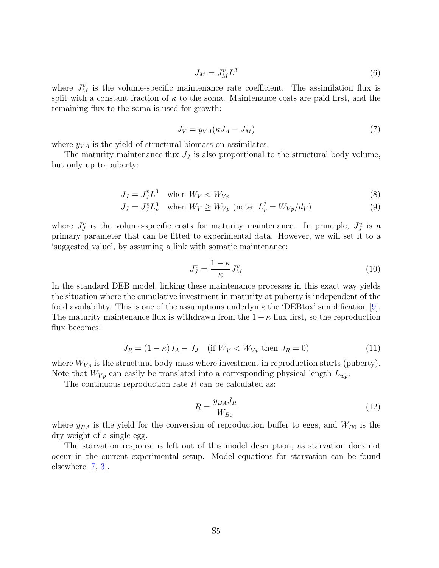$$
J_M = J_M^v L^3 \tag{6}
$$

where  $J_M^v$  is the volume-specific maintenance rate coefficient. The assimilation flux is split with a constant fraction of  $\kappa$  to the soma. Maintenance costs are paid first, and the remaining flux to the soma is used for growth:

$$
J_V = y_{VA}(\kappa J_A - J_M) \tag{7}
$$

where  $y_{VA}$  is the yield of structural biomass on assimilates.

The maturity maintenance flux  $J<sub>J</sub>$  is also proportional to the structural body volume, but only up to puberty:

$$
J_J = J_J^v L^3 \quad \text{when } W_V < W_{Vp} \tag{8}
$$

$$
J_J = J_J^v L_p^3 \quad \text{when } W_V \ge W_{Vp} \text{ (note: } L_p^3 = W_{Vp}/d_V) \tag{9}
$$

where  $J_j^v$  is the volume-specific costs for maturity maintenance. In principle,  $J_j^v$  is a primary parameter that can be fitted to experimental data. However, we will set it to a 'suggested value', by assuming a link with somatic maintenance:

$$
J_J^v = \frac{1 - \kappa}{\kappa} J_M^v \tag{10}
$$

In the standard DEB model, linking these maintenance processes in this exact way yields the situation where the cumulative investment in maturity at puberty is independent of the food availability. This is one of the assumptions underlying the 'DEBtox' simplification [\[9\]](#page-16-4). The maturity maintenance flux is withdrawn from the  $1 - \kappa$  flux first, so the reproduction flux becomes:

$$
J_R = (1 - \kappa)J_A - J_J \quad \text{(if } W_V < W_{Vp} \text{ then } J_R = 0\text{)}\tag{11}
$$

where  $W_{V_p}$  is the structural body mass where investment in reproduction starts (puberty). Note that  $W_{V_p}$  can easily be translated into a corresponding physical length  $L_{wp}$ .

The continuous reproduction rate  $R$  can be calculated as:

$$
R = \frac{y_{BA} J_R}{W_{B0}}\tag{12}
$$

where  $y_{BA}$  is the yield for the conversion of reproduction buffer to eggs, and  $W_{B0}$  is the dry weight of a single egg.

The starvation response is left out of this model description, as starvation does not occur in the current experimental setup. Model equations for starvation can be found elsewhere [\[7,](#page-16-0) [3\]](#page-16-1).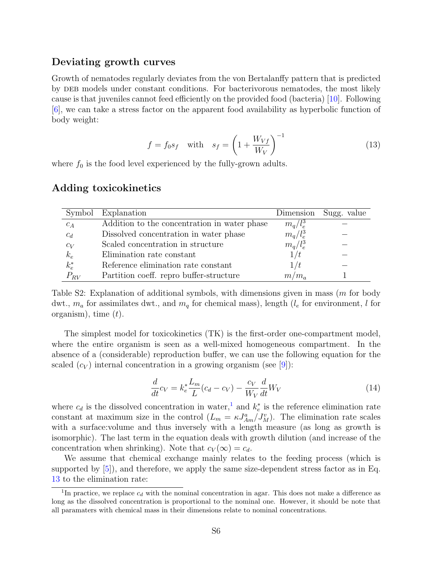#### <span id="page-5-0"></span>Deviating growth curves

Growth of nematodes regularly deviates from the von Bertalanffy pattern that is predicted by deb models under constant conditions. For bacterivorous nematodes, the most likely cause is that juveniles cannot feed efficiently on the provided food (bacteria) [\[10\]](#page-16-5). Following [\[6\]](#page-16-6), we can take a stress factor on the apparent food availability as hyperbolic function of body weight:

<span id="page-5-3"></span>
$$
f = f_0 s_f \quad \text{with} \quad s_f = \left(1 + \frac{W_{Vf}}{W_V}\right)^{-1} \tag{13}
$$

where  $f_0$  is the food level experienced by the fully-grown adults.

|            | Symbol Explanation                           |             | Dimension Sugg. value |
|------------|----------------------------------------------|-------------|-----------------------|
| $c_A$      | Addition to the concentration in water phase | $m_a/l_e^3$ |                       |
| $c_d$      | Dissolved concentration in water phase       | $m_q/l_e^3$ |                       |
| $c_V$      | Scaled concentration in structure            | $m_q/l_e^3$ |                       |
| $k_e$      | Elimination rate constant                    | 1/t         |                       |
| $k_e^\ast$ | Reference elimination rate constant          | 1/t         |                       |
| $P_{RV}$   | Partition coeff. repro buffer-structure      | $m/m_a$     |                       |

#### <span id="page-5-1"></span>Adding toxicokinetics

Table S2: Explanation of additional symbols, with dimensions given in mass (m for body dwt.,  $m_a$  for assimilates dwt., and  $m_a$  for chemical mass), length ( $l_e$  for environment, l for organism), time  $(t)$ .

The simplest model for toxicokinetics (TK) is the first-order one-compartment model, where the entire organism is seen as a well-mixed homogeneous compartment. In the absence of a (considerable) reproduction buffer, we can use the following equation for the scaled  $(c_V)$  internal concentration in a growing organism (see [\[9\]](#page-16-4)):

$$
\frac{d}{dt}c_V = k_e^* \frac{L_m}{L}(c_d - c_V) - \frac{c_V}{W_V} \frac{d}{dt}W_V
$$
\n(14)

where  $c_d$  is the dissolved concentration in water,<sup>[1](#page-5-2)</sup> and  $k_e^*$  is the reference elimination rate constant at maximum size in the control  $(L_m = \kappa J_{Am}^a / J_M^v)$ . The elimination rate scales with a surface: volume and thus inversely with a length measure (as long as growth is isomorphic). The last term in the equation deals with growth dilution (and increase of the concentration when shrinking). Note that  $c_V(\infty) = c_d$ .

We assume that chemical exchange mainly relates to the feeding process (which is supported by [\[5\]](#page-16-7)), and therefore, we apply the same size-dependent stress factor as in Eq. [13](#page-5-3) to the elimination rate:

<span id="page-5-2"></span><sup>&</sup>lt;sup>1</sup>In practice, we replace  $c_d$  with the nominal concentration in agar. This does not make a difference as long as the dissolved concentration is proportional to the nominal one. However, it should be note that all paramaters with chemical mass in their dimensions relate to nominal concentrations.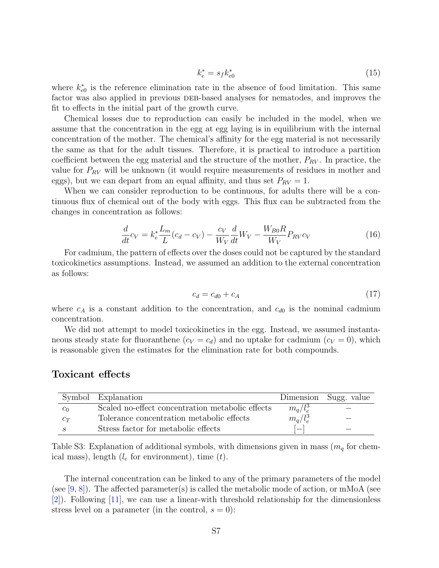$$
k_e^* = s_f k_{e0}^* \tag{15}
$$

where  $k_{e0}^*$  is the reference elimination rate in the absence of food limitation. This same factor was also applied in previous DEB-based analyses for nematodes, and improves the fit to effects in the initial part of the growth curve.

Chemical losses due to reproduction can easily be included in the model, when we assume that the concentration in the egg at egg laying is in equilibrium with the internal concentration of the mother. The chemical's affinity for the egg material is not necessarily the same as that for the adult tissues. Therefore, it is practical to introduce a partition coefficient between the egg material and the structure of the mother,  $P_{RV}$ . In practice, the value for  $P_{RV}$  will be unknown (it would require measurements of residues in mother and eggs), but we can depart from an equal affinity, and thus set  $P_{RV} = 1$ .

When we can consider reproduction to be continuous, for adults there will be a continuous flux of chemical out of the body with eggs. This flux can be subtracted from the changes in concentration as follows:

$$
\frac{d}{dt}c_V = k_e^* \frac{L_m}{L}(c_d - c_V) - \frac{c_V}{W_V} \frac{d}{dt}W_V - \frac{W_{B0}R}{W_V} P_{RV} c_V
$$
\n(16)

For cadmium, the pattern of effects over the doses could not be captured by the standard toxicokinetics assumptions. Instead, we assumed an addition to the external concentration as follows:

$$
c_d = c_{d0} + c_A \tag{17}
$$

where  $c_A$  is a constant addition to the concentration, and  $c_{d0}$  is the nominal cadmium concentration.

We did not attempt to model toxicokinetics in the egg. Instead, we assumed instantaneous steady state for fluoranthene  $(c_V = c_d)$  and no uptake for cadmium  $(c_V = 0)$ , which is reasonable given the estimates for the elimination rate for both compounds.

#### <span id="page-6-0"></span>Toxicant effects

|                | Symbol Explanation                               |             | Dimension Sugg. value |
|----------------|--------------------------------------------------|-------------|-----------------------|
| c <sub>0</sub> | Scaled no-effect concentration metabolic effects | $m_a/l_e^3$ |                       |
| $c_T$          | Tolerance concentration metabolic effects        | $m_q/l_e^3$ |                       |
|                | Stress factor for metabolic effects              |             |                       |

Table S3: Explanation of additional symbols, with dimensions given in mass  $(m_q \text{ for }$  chemical mass), length  $(l_e$  for environment), time  $(t)$ .

The internal concentration can be linked to any of the primary parameters of the model (see [\[9,](#page-16-4) [8\]](#page-16-8)). The affected parameter(s) is called the metabolic mode of action, or mMoA (see [\[2\]](#page-16-9)). Following [\[11\]](#page-16-10), we can use a linear-with threshold relationship for the dimensionless stress level on a parameter (in the control,  $s = 0$ ):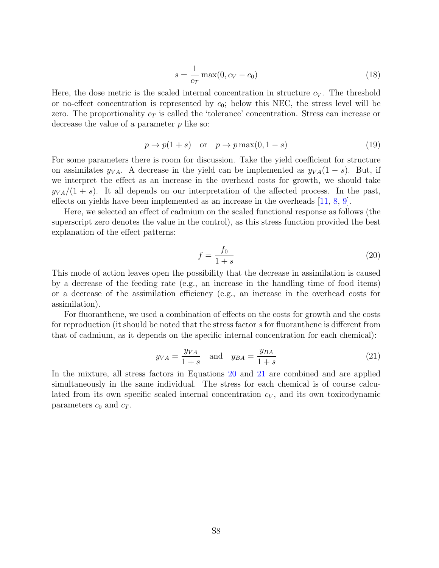$$
s = \frac{1}{c_T} \max(0, c_V - c_0)
$$
 (18)

Here, the dose metric is the scaled internal concentration in structure  $c_V$ . The threshold or no-effect concentration is represented by  $c_0$ ; below this NEC, the stress level will be zero. The proportionality  $c<sub>T</sub>$  is called the 'tolerance' concentration. Stress can increase or decrease the value of a parameter  $p$  like so:

$$
p \to p(1+s) \quad \text{or} \quad p \to p \max(0, 1-s) \tag{19}
$$

For some parameters there is room for discussion. Take the yield coefficient for structure on assimilates  $y_{VA}$ . A decrease in the yield can be implemented as  $y_{VA}(1-s)$ . But, if we interpret the effect as an increase in the overhead costs for growth, we should take  $y_{VA}/(1 + s)$ . It all depends on our interpretation of the affected process. In the past, effects on yields have been implemented as an increase in the overheads [\[11,](#page-16-10) [8,](#page-16-8) [9\]](#page-16-4).

Here, we selected an effect of cadmium on the scaled functional response as follows (the superscript zero denotes the value in the control), as this stress function provided the best explanation of the effect patterns:

<span id="page-7-0"></span>
$$
f = \frac{f_0}{1+s} \tag{20}
$$

This mode of action leaves open the possibility that the decrease in assimilation is caused by a decrease of the feeding rate (e.g., an increase in the handling time of food items) or a decrease of the assimilation efficiency (e.g., an increase in the overhead costs for assimilation).

For fluoranthene, we used a combination of effects on the costs for growth and the costs for reproduction (it should be noted that the stress factor s for fluoranthene is different from that of cadmium, as it depends on the specific internal concentration for each chemical):

<span id="page-7-1"></span>
$$
y_{VA} = \frac{y_{VA}}{1+s} \quad \text{and} \quad y_{BA} = \frac{y_{BA}}{1+s} \tag{21}
$$

In the mixture, all stress factors in Equations [20](#page-7-0) and [21](#page-7-1) are combined and are applied simultaneously in the same individual. The stress for each chemical is of course calculated from its own specific scaled internal concentration  $c_V$ , and its own toxicodynamic parameters  $c_0$  and  $c_T$ .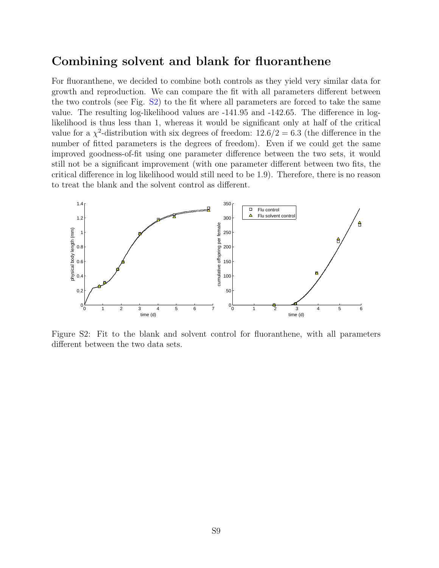### <span id="page-8-0"></span>Combining solvent and blank for fluoranthene

For fluoranthene, we decided to combine both controls as they yield very similar data for growth and reproduction. We can compare the fit with all parameters different between the two controls (see Fig. [S2\)](#page-8-1) to the fit where all parameters are forced to take the same value. The resulting log-likelihood values are -141.95 and -142.65. The difference in loglikelihood is thus less than 1, whereas it would be significant only at half of the critical value for a  $\chi^2$ -distribution with six degrees of freedom:  $12.6/2 = 6.3$  (the difference in the number of fitted parameters is the degrees of freedom). Even if we could get the same improved goodness-of-fit using one parameter difference between the two sets, it would still not be a significant improvement (with one parameter different between two fits, the critical difference in log likelihood would still need to be 1.9). Therefore, there is no reason<br>to treat the blank and the solvent control as different to treat the blank and the solvent control as different.



<span id="page-8-1"></span>different between the two data sets. Figure S2: Fit to the blank and solvent control for fluoranthene, with all parameters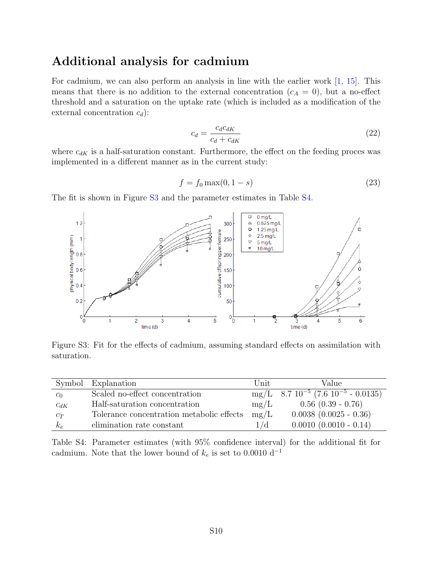### <span id="page-9-0"></span>Additional analysis for cadmium

For cadmium, we can also perform an analysis in line with the earlier work [\[1,](#page-16-11) [15\]](#page-16-12). This means that there is no addition to the external concentration  $(c_A = 0)$ , but a no-effect threshold and a saturation on the uptake rate (which is included as a modification of the external concentration  $c_d$ ):

$$
c_d = \frac{c_d c_{dK}}{c_d + c_{dK}}\tag{22}
$$

where  $c_{dK}$  is a half-saturation constant. Furthermore, the effect on the feeding proces was implemented in a different manner as in the current study:

$$
f = f_0 \max(0, 1 - s) \tag{23}
$$

The fit is shown in Figure [S3](#page-9-1) and the parameter estimates in Table [S4.](#page-9-2)



<span id="page-9-1"></span>Figure S3: Fit for the effects of cadmium, assuming standard effects on assimilation with saturation.

|          | Symbol Explanation                        | Unit | Value                                                       |
|----------|-------------------------------------------|------|-------------------------------------------------------------|
| $c_0$    | Scaled no-effect concentration            |      | $mg/L$ 8.7 10 <sup>-5</sup> (7.6 10 <sup>-5</sup> - 0.0135) |
| $c_{dK}$ | Half-saturation concentration             | mg/L | $0.56$ $(0.39 - 0.76)$                                      |
| $c_T$    | Tolerance concentration metabolic effects | mg/L | $0.0038$ $(0.0025 - 0.36)$                                  |
| $k_e$    | elimination rate constant                 | 1/d  | $0.0010$ $(0.0010 - 0.14)$                                  |

<span id="page-9-2"></span>Table S4: Parameter estimates (with 95% confidence interval) for the additional fit for cadmium. Note that the lower bound of  $k_e$  is set to 0.0010  $\mathrm{d}^{-1}$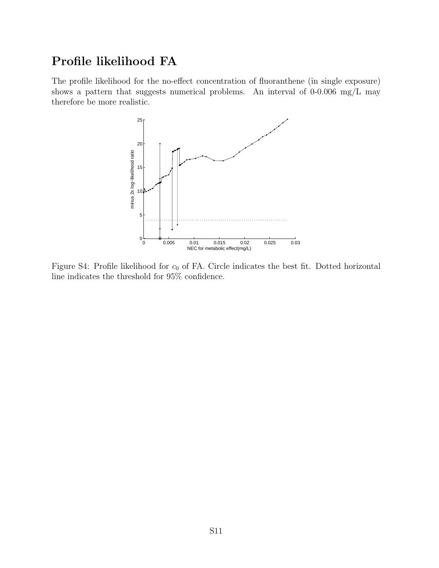# <span id="page-10-0"></span>Profile likelihood FA

The profile likelihood for the no-effect concentration of fluoranthene (in single exposure) shows a pattern that suggests numerical problems. An interval of 0-0.006 mg/L may therefore be more realistic.



Figure S4: Profile likelihood for  $c_0$  of FA. Circle indicates the best fit. Dotted horizontal line indicates the threshold for 95% confidence.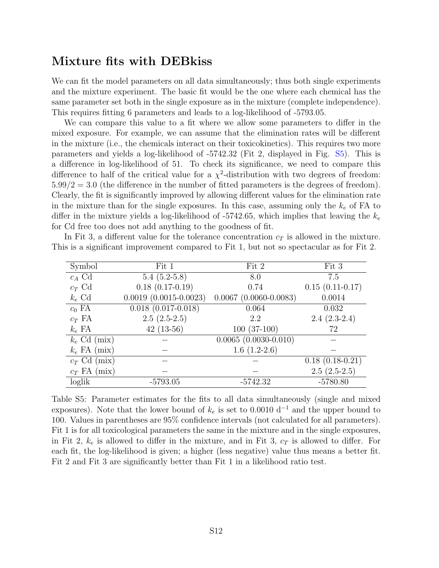### <span id="page-11-0"></span>Mixture fits with DEBkiss

We can fit the model parameters on all data simultaneously; thus both single experiments and the mixture experiment. The basic fit would be the one where each chemical has the same parameter set both in the single exposure as in the mixture (complete independence). This requires fitting 6 parameters and leads to a log-likelihood of -5793.05.

We can compare this value to a fit where we allow some parameters to differ in the mixed exposure. For example, we can assume that the elimination rates will be different in the mixture (i.e., the chemicals interact on their toxicokinetics). This requires two more parameters and yields a log-likelihood of -5742.32 (Fit 2, displayed in Fig. [S5\)](#page-12-0). This is a difference in log-likelihood of 51. To check its significance, we need to compare this difference to half of the critical value for a  $\chi^2$ -distribution with two degrees of freedom:  $5.99/2 = 3.0$  (the difference in the number of fitted parameters is the degrees of freedom). Clearly, the fit is significantly improved by allowing different values for the elimination rate in the mixture than for the single exposures. In this case, assuming only the  $k_e$  of FA to differ in the mixture yields a log-likelihood of -5742.65, which implies that leaving the  $k_e$ for Cd free too does not add anything to the goodness of fit.

In Fit 3, a different value for the tolerance concentration  $c_T$  is allowed in the mixture. This is a significant improvement compared to Fit 1, but not so spectacular as for Fit 2.

| Symbol         | Fit 1                        | Fit 2                                           | Fit 3             |
|----------------|------------------------------|-------------------------------------------------|-------------------|
| $c_A$ Cd       | $5.4(5.2-5.8)$               | 8.0                                             | 7.5               |
| $c_T$ Cd       | $0.18(0.17-0.19)$            | 0.74                                            | $0.15(0.11-0.17)$ |
| $k_e$ Cd       | $0.0019$ $(0.0015 - 0.0023)$ | $0.0067$ $(0.0060 - 0.0083)$                    | 0.0014            |
| $c_0$ FA       | $0.018(0.017-0.018)$         | 0.064                                           | 0.032             |
| $c_T$ FA       | $2.5(2.5-2.5)$               | 2.2                                             | $2.4(2.3-2.4)$    |
| $k_e$ FA       | $42(13-56)$                  | $100(37-100)$                                   | 72                |
| $k_e$ Cd (mix) |                              | $\overline{0.0065}$ $\overline{(0.0030-0.010)}$ |                   |
| $k_e$ FA (mix) |                              | $1.6(1.2-2.6)$                                  |                   |
| $c_T$ Cd (mix) |                              |                                                 | $0.18(0.18-0.21)$ |
| $c_T$ FA (mix) |                              |                                                 | $2.5(2.5-2.5)$    |
| loglik         | $-5793.05$                   | $-5742.32$                                      | $-5780.80$        |

Table S5: Parameter estimates for the fits to all data simultaneously (single and mixed exposures). Note that the lower bound of  $k_e$  is set to 0.0010 d<sup>-1</sup> and the upper bound to 100. Values in parentheses are 95% confidence intervals (not calculated for all parameters). Fit 1 is for all toxicological parameters the same in the mixture and in the single exposures, in Fit 2,  $k_e$  is allowed to differ in the mixture, and in Fit 3,  $c_T$  is allowed to differ. For each fit, the log-likelihood is given; a higher (less negative) value thus means a better fit. Fit 2 and Fit 3 are significantly better than Fit 1 in a likelihood ratio test.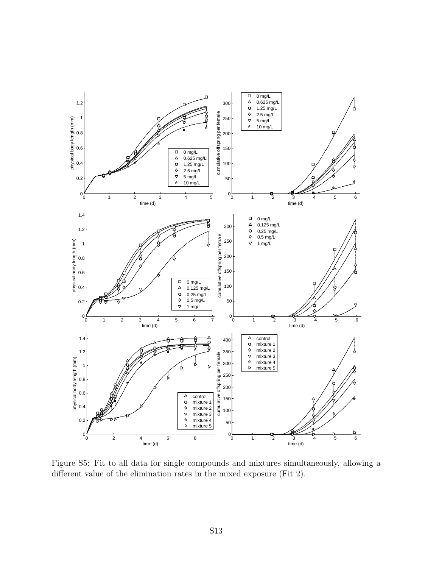

<span id="page-12-0"></span>Figure S5: Fit to all data for single compounds and mixtures simultaneously, allowing a different value of the elimination rates in the mixed exposure (Fit 2).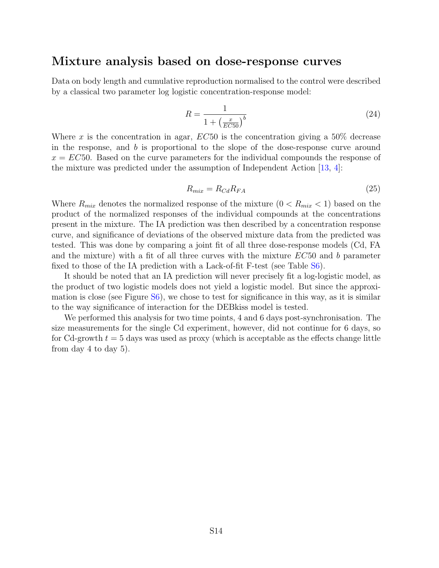#### <span id="page-13-0"></span>Mixture analysis based on dose-response curves

Data on body length and cumulative reproduction normalised to the control were described by a classical two parameter log logistic concentration-response model:

$$
R = \frac{1}{1 + \left(\frac{x}{EC50}\right)^b} \tag{24}
$$

Where x is the concentration in agar,  $EC50$  is the concentration giving a 50% decrease in the response, and  $b$  is proportional to the slope of the dose-response curve around  $x = EC50$ . Based on the curve parameters for the individual compounds the response of the mixture was predicted under the assumption of Independent Action [\[13,](#page-16-13) [4\]](#page-16-14):

$$
R_{mix} = R_{Cd} R_{FA} \tag{25}
$$

Where  $R_{mix}$  denotes the normalized response of the mixture  $(0 < R_{mix} < 1)$  based on the product of the normalized responses of the individual compounds at the concentrations present in the mixture. The IA prediction was then described by a concentration response curve, and significance of deviations of the observed mixture data from the predicted was tested. This was done by comparing a joint fit of all three dose-response models (Cd, FA and the mixture) with a fit of all three curves with the mixture EC50 and b parameter fixed to those of the IA prediction with a Lack-of-fit F-test (see Table [S6\)](#page-14-0).

It should be noted that an IA prediction will never precisely fit a log-logistic model, as the product of two logistic models does not yield a logistic model. But since the approximation is close (see Figure [S6\)](#page-14-1), we chose to test for significance in this way, as it is similar to the way significance of interaction for the DEBkiss model is tested.

We performed this analysis for two time points, 4 and 6 days post-synchronisation. The size measurements for the single Cd experiment, however, did not continue for 6 days, so for Cd-growth  $t = 5$  days was used as proxy (which is acceptable as the effects change little from day 4 to day 5).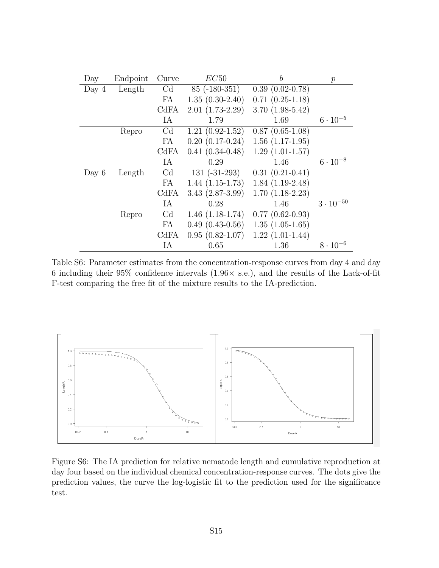| Day     | Endpoint | Curve          | EC50              | b                                 | $\mathcal{P}$      |
|---------|----------|----------------|-------------------|-----------------------------------|--------------------|
| Day $4$ | Length   | $\rm Cd$       | $85$ (-180-351)   | $0.39(0.02-0.78)$                 |                    |
|         |          | FA             | $1.35(0.30-2.40)$ | $0.71(0.25-1.18)$                 |                    |
|         |          | CdFA           | $2.01(1.73-2.29)$ | $3.70(1.98-5.42)$                 |                    |
|         |          | IA             | 1.79              | 1.69                              | $6 \cdot 10^{-5}$  |
|         | Repro    | C <sub>d</sub> | $1.21(0.92-1.52)$ | $0.87(0.65-1.08)$                 |                    |
|         |          | FA             | $0.20(0.17-0.24)$ | $1.56(1.17-1.95)$                 |                    |
|         |          | CdFA           | $0.41(0.34-0.48)$ | $1.29(1.01-1.57)$                 |                    |
|         |          | IA             | 0.29              | 1.46                              | $6 \cdot 10^{-8}$  |
| Day $6$ | Length   | Cd             | $131 (-31-293)$   | $\overline{0.31}$ $(0.21 - 0.41)$ |                    |
|         |          | FA             | $1.44(1.15-1.73)$ | $1.84(1.19-2.48)$                 |                    |
|         |          | CdFA           | $3.43(2.87-3.99)$ | $1.70(1.18-2.23)$                 |                    |
|         |          | IA             | 0.28              | 1.46                              | $3 \cdot 10^{-50}$ |
|         | Repro    | C <sub>d</sub> | $1.46(1.18-1.74)$ | $0.77(0.62-0.93)$                 |                    |
|         |          | FA             | $0.49(0.43-0.56)$ | $1.35(1.05-1.65)$                 |                    |
|         |          | CdFA           | $0.95(0.82-1.07)$ | $1.22(1.01-1.44)$                 |                    |
|         |          | IA             | 0.65              | 1.36                              | $8 \cdot 10^{-6}$  |

<span id="page-14-0"></span>Table S6: Parameter estimates from the concentration-response curves from day 4 and day 6 including their 95% confidence intervals  $(1.96 \times \text{ s.e.})$ , and the results of the Lack-of-fit If the intervals the free fit of the mixture results to the IA-prediction.



<span id="page-14-1"></span>Figure S6: The IA prediction for relative nematode length and cumulative reproduction at day four based on the individual chemical concentration-response curves. The dots give the prediction values, the curve the log-logistic fit to the prediction used for the significance test.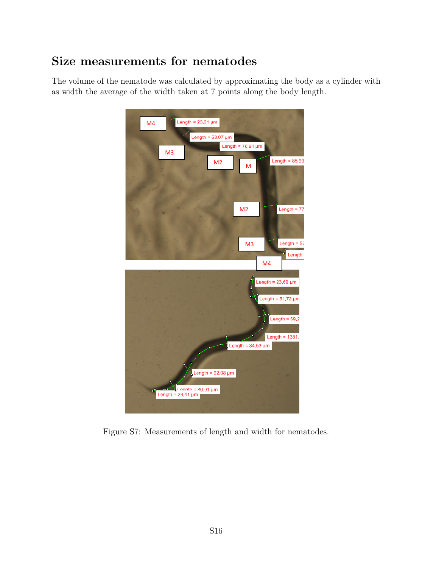# <span id="page-15-0"></span>Size measurements for nematodes

The volume of the nematode was calculated by approximating the body as a cylinder with as width the average of the width taken at 7 points along the body length.



<span id="page-15-1"></span>Figure S7: Measurements of length and width for nematodes.